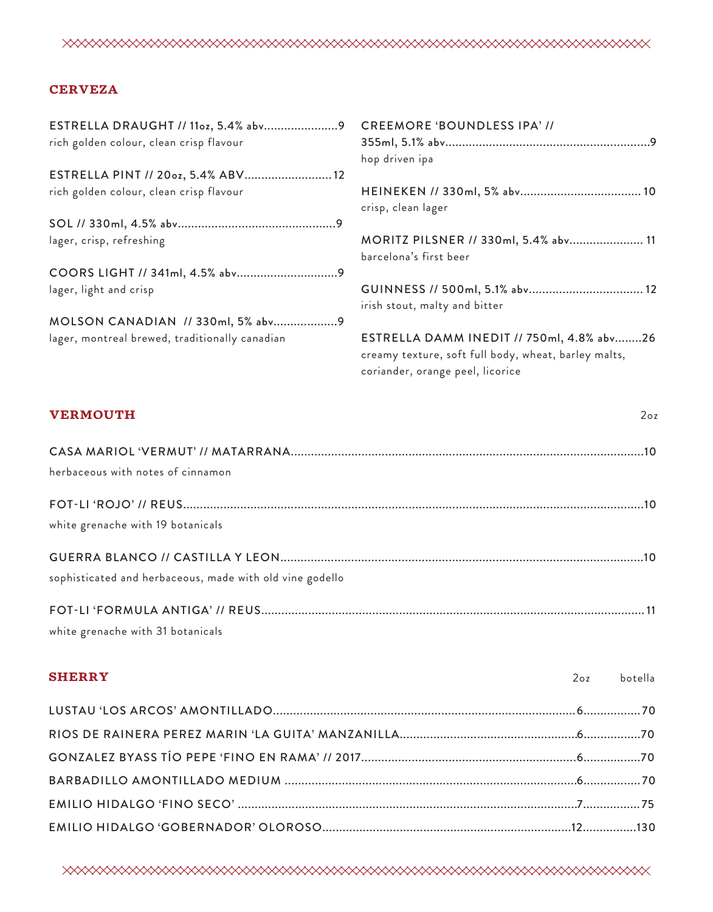# XXXXXXXXXXXXXXXXXXXXXXXXXXXXXXXXXXXXX

## **CERVEZA**

**SHERRY**

|                                                | <b>CREEMORE 'BOUNDLESS IPA' //</b>                                                                |
|------------------------------------------------|---------------------------------------------------------------------------------------------------|
| rich golden colour, clean crisp flavour        |                                                                                                   |
|                                                | hop driven ipa                                                                                    |
| ESTRELLA PINT // 200z, 5.4% ABV 12             |                                                                                                   |
| rich golden colour, clean crisp flavour        | crisp, clean lager                                                                                |
|                                                |                                                                                                   |
| lager, crisp, refreshing                       | MORITZ PILSNER // 330ml, 5.4% abv 11<br>barcelona's first beer                                    |
|                                                |                                                                                                   |
| lager, light and crisp                         | irish stout, malty and bitter                                                                     |
| MOLSON CANADIAN // 330ml, 5% abv9              |                                                                                                   |
| lager, montreal brewed, traditionally canadian | ESTRELLA DAMM INEDIT // 750ml, 4.8% abv26<br>creamy texture, soft full body, wheat, barley malts, |
|                                                | coriander, orange peel, licorice                                                                  |

# **VERMOUTH** CASA MARIOL 'VERMUT' // MATARRANA.........................................................................................................10 herbaceous with notes of cinnamon FOT-LI 'ROJO' // REUS.........................................................................................................................................10 white grenache with 19 botanicals GUERRA BLANCO // CASTILLA Y LEON............................................................................................................10 sophisticated and herbaceous, made with old vine godello FOT-LI 'FORMULA ANTIGA' // REUS.................................................................................................................. 11 white grenache with 31 botanicals 2oz

| SHERRY | 2oz botella |
|--------|-------------|
|        |             |
|        |             |
|        |             |
|        |             |
|        |             |
|        |             |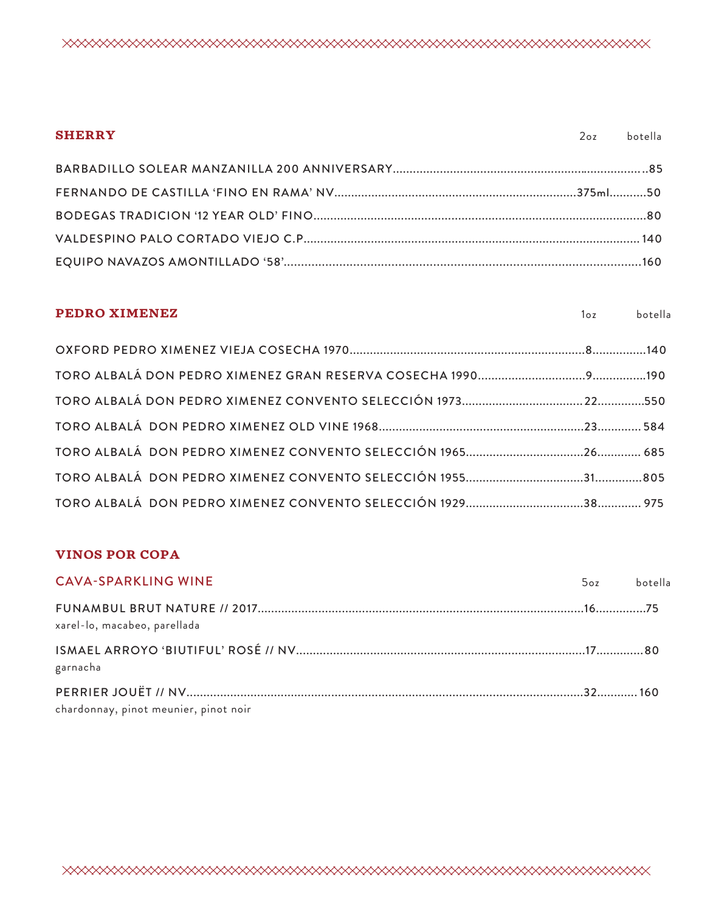| <b>SHERRY</b> | 2oz botella |
|---------------|-------------|
|               |             |
|               |             |
|               |             |
|               |             |
|               |             |

# **PEDRO XIMENEZ** OXFORD PEDRO XIMENEZ VIEJA COSECHA 1970......................................................................8................140 TORO ALBALÁ DON PEDRO XIMENEZ GRAN RESERVA COSECHA 1990................................9................190 TORO ALBALÁ DON PEDRO XIMENEZ CONVENTO SELECCIÓN 1973....................................22..............550 TORO ALBALÁ DON PEDRO XIMENEZ OLD VINE 1968.............................................................23............. 584 TORO ALBALÁ DON PEDRO XIMENEZ CONVENTO SELECCIÓN 1965...................................26............. 685 TORO ALBALÁ DON PEDRO XIMENEZ CONVENTO SELECCIÓN 1955...................................31..............805 TORO ALBALÁ DON PEDRO XIMENEZ CONVENTO SELECCIÓN 1929...................................38............. 975 1oz botella

#### **VINOS POR COPA**

| <b>CAVA-SPARKLING WINE</b>            | 5oz botella |  |
|---------------------------------------|-------------|--|
| xarel-lo, macabeo, parellada          |             |  |
| garnacha                              |             |  |
| chardonnay, pinot meunier, pinot noir |             |  |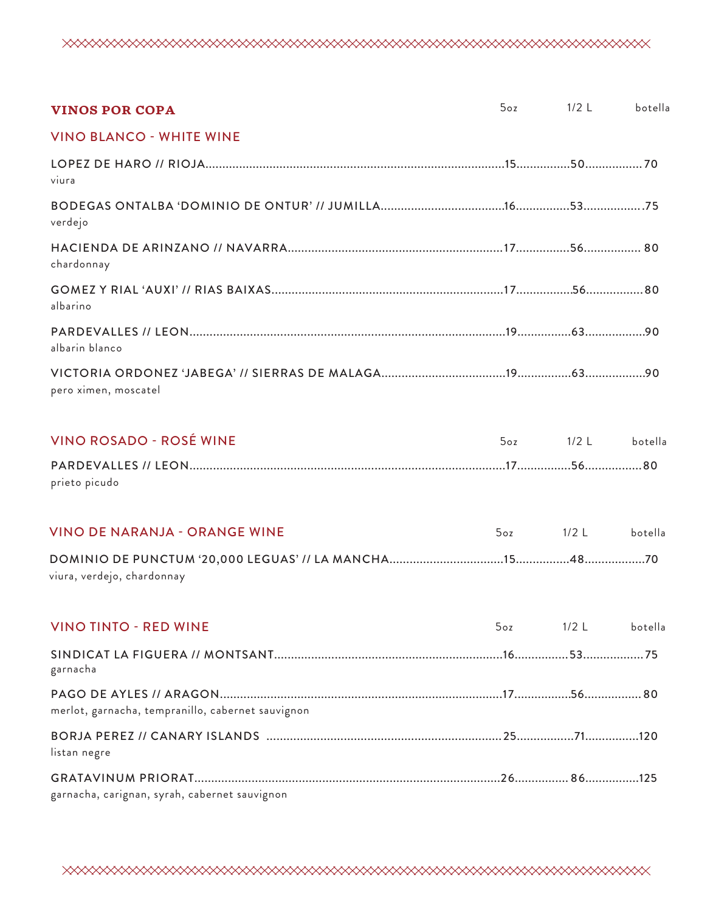| <b>VINOS POR COPA</b>                             | 5 <sub>oz</sub> | $1/2$ L   | botella |
|---------------------------------------------------|-----------------|-----------|---------|
| <b>VINO BLANCO - WHITE WINE</b>                   |                 |           |         |
| viura                                             |                 |           |         |
| verdejo                                           |                 |           |         |
| chardonnay                                        |                 |           |         |
| albarino                                          |                 |           |         |
| albarin blanco                                    |                 |           |         |
| pero ximen, moscatel                              |                 |           |         |
| <b>VINO ROSADO - ROSÉ WINE</b>                    |                 | 5oz 1/2 L | botella |
| prieto picudo                                     |                 |           |         |
| <b>VINO DE NARANJA - ORANGE WINE</b>              | 5oz             | $1/2$ L   | botella |
| viura, verdejo, chardonnay                        |                 |           |         |
| <b>VINO TINTO - RED WINE</b>                      | 5 <sub>oz</sub> | $1/2$ L   | botella |
| garnacha                                          |                 |           |         |
| merlot, garnacha, tempranillo, cabernet sauvignon |                 |           |         |
| listan negre                                      |                 |           |         |
| garnacha, carignan, syrah, cabernet sauvignon     |                 |           |         |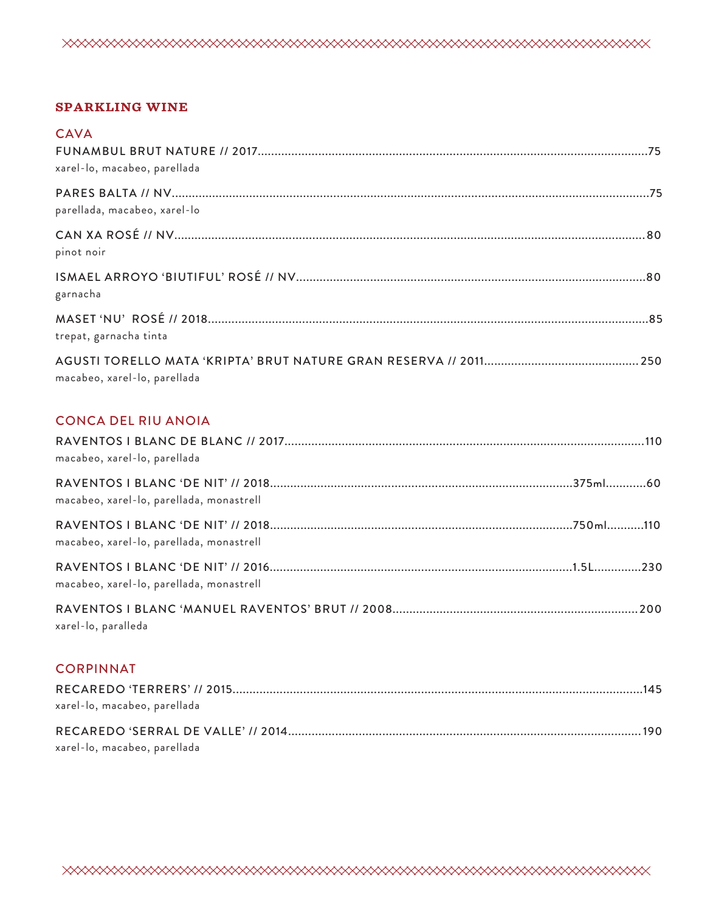

#### **SPARKLING WINE**

| <b>CAVA</b><br>xarel-lo, macabeo, parellada |  |
|---------------------------------------------|--|
| parellada, macabeo, xarel-lo                |  |
| pinot noir                                  |  |
| garnacha                                    |  |
| trepat, garnacha tinta                      |  |
| macabeo, xarel-lo, parellada                |  |

## CONCA DEL RIU ANOIA

| macabeo, xarel-lo, parellada             |  |
|------------------------------------------|--|
| macabeo, xarel-lo, parellada, monastrell |  |
| macabeo, xarel-lo, parellada, monastrell |  |
| macabeo, xarel-lo, parellada, monastrell |  |
| xarel-lo, paralleda                      |  |

## CORPINNAT

| xarel-lo, macabeo, parellada |  |
|------------------------------|--|
|                              |  |
| xarel-lo, macabeo, parellada |  |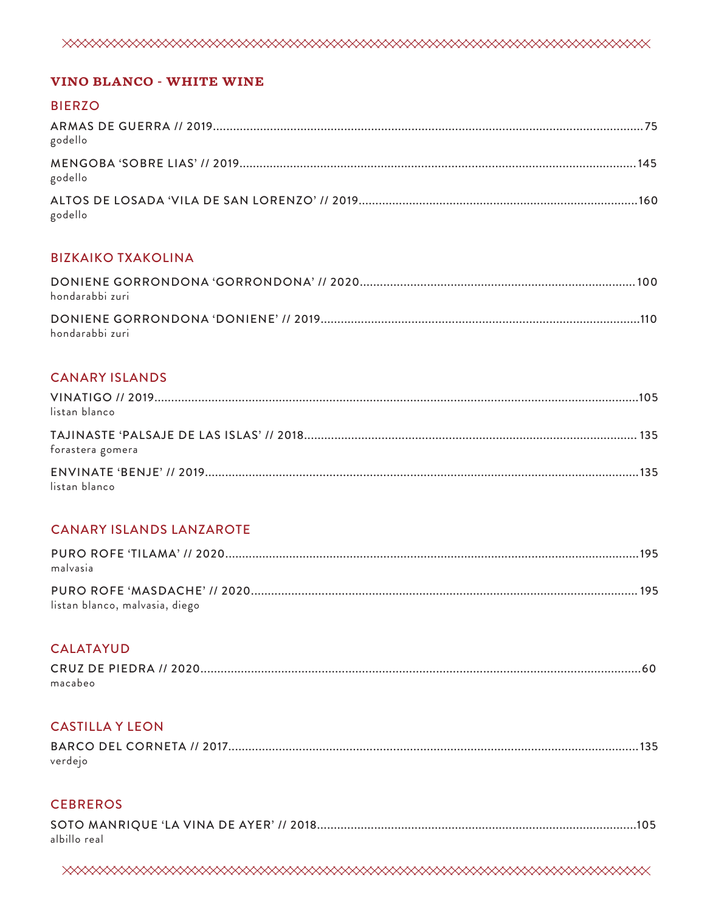#### **VINO BLANCO - WHITE WINE**

#### **BIERZO**

| godello |  |
|---------|--|
| godello |  |
| godello |  |

### **BIZKAIKO TXAKOLINA**

| hondarabbi zuri |  |
|-----------------|--|
| hondarabbi zuri |  |

## **CANARY ISLANDS**

| listan blanco    |  |
|------------------|--|
| forastera gomera |  |
| listan blanco    |  |

## **CANARY ISLANDS LANZAROTE**

| malvasia                       |  |
|--------------------------------|--|
| listan blanco, malvasia, diego |  |

#### **CALATAYUD**

| macabeo |  |
|---------|--|

## **CASTILLA Y LEON**

| verdejo |  |
|---------|--|

## **CEBREROS**

| albillo real |  |
|--------------|--|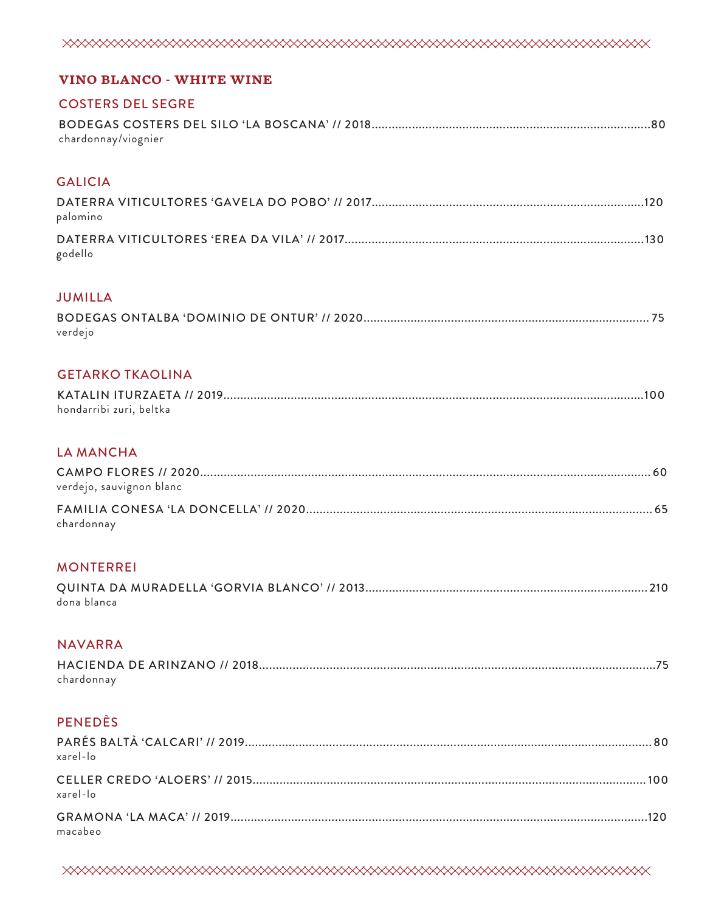| <b>VINO BLANCO - WHITE WINE</b> |
|---------------------------------|
| <b>COSTERS DEL SEGRE</b>        |
| chardonnay/viognier             |
| <b>GALICIA</b>                  |
| palomino                        |
| godello                         |
| <b>JUMILLA</b>                  |
| verdejo                         |
| <b>GETARKO TKAOLINA</b>         |
| hondarribi zuri, beltka         |
| <b>LA MANCHA</b>                |
| verdejo, sauvignon blanc        |
| chardonnay                      |
| <b>MONTERREI</b>                |
| dona blanca                     |
| <b>NAVARRA</b>                  |
| chardonnay                      |
| <b>PENEDÈS</b>                  |
| xarel-lo                        |
| xarel-lo                        |
| macabeo                         |
|                                 |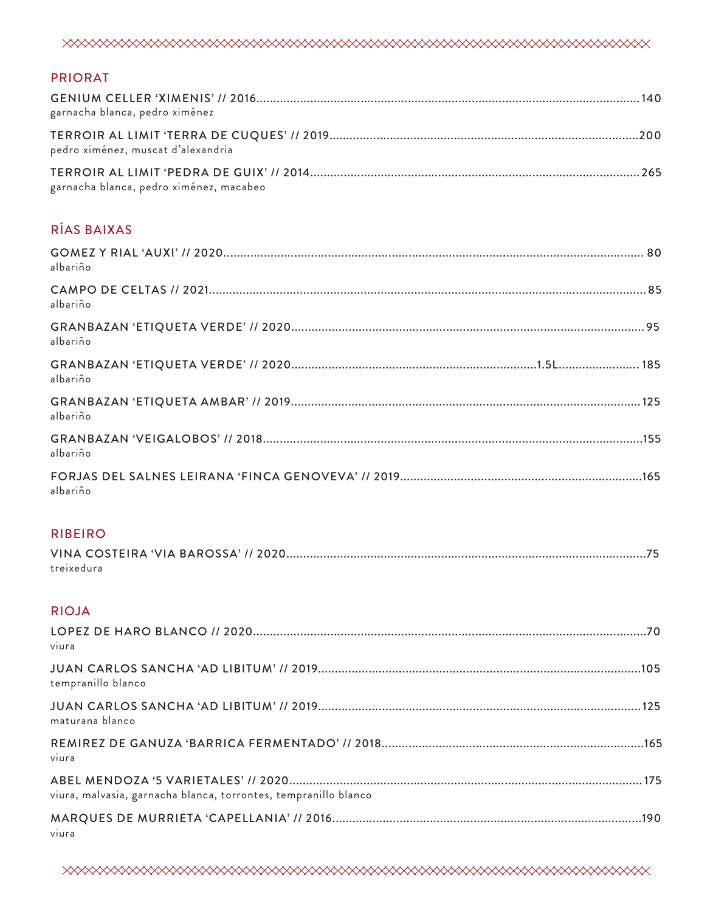## PRIORAT

| garnacha blanca, pedro ximénez          |  |
|-----------------------------------------|--|
| pedro ximénez, muscat d'alexandria      |  |
| garnacha blanca, pedro ximénez, macabeo |  |

# RÍAS BAIXAS

| albariño |  |
|----------|--|
| albariño |  |
| albariño |  |
| albariño |  |
| albariño |  |
| albariño |  |
| albariño |  |

## RIBEIRO

| treixedura |  |
|------------|--|

# RIOJA

| viura                                                           |  |
|-----------------------------------------------------------------|--|
| tempranillo blanco                                              |  |
| maturana blanco                                                 |  |
| viura                                                           |  |
| viura, malvasia, garnacha blanca, torrontes, tempranillo blanco |  |
| viura                                                           |  |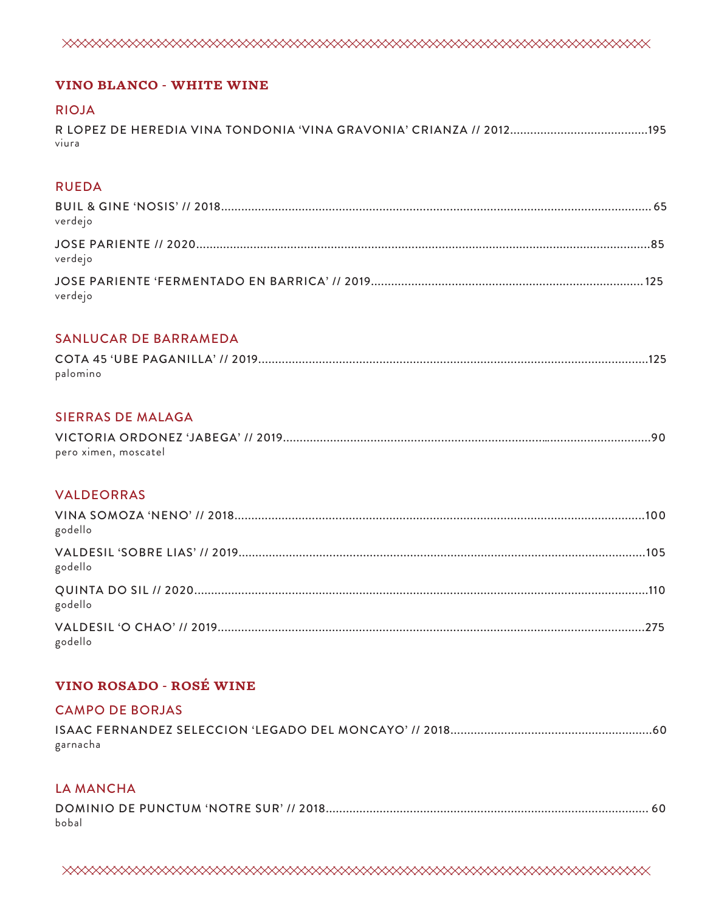

#### **VINO BLANCO - WHITE WINE**

# **RIOJA** viura

#### **RUEDA**

| verdejo |  |
|---------|--|
| verdejo |  |
| verdejo |  |

#### **SANLUCAR DE BARRAMEDA**

| palomino |  |
|----------|--|

## **SIERRAS DE MALAGA**

| pero ximen, moscatel |  |
|----------------------|--|

#### **VALDEORRAS**

| godello |  |
|---------|--|
| godello |  |
| godello |  |
| godello |  |

## **VINO ROSADO - ROSÉ WINE**

#### **CAMPO DE BORJAS**

| garnacha |  |
|----------|--|

#### **LA MANCHA**

| bobal |  |
|-------|--|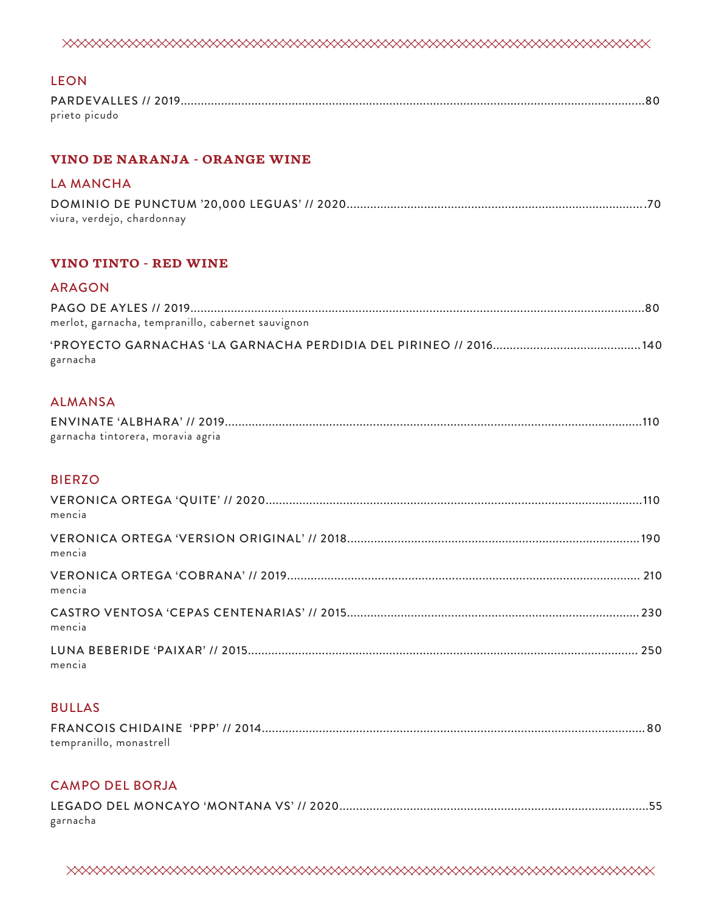| <b>LEON</b>                                       |
|---------------------------------------------------|
| prieto picudo                                     |
| <b>VINO DE NARANJA - ORANGE WINE</b>              |
| <b>LA MANCHA</b>                                  |
| viura, verdejo, chardonnay                        |
| <b>VINO TINTO - RED WINE</b>                      |
| <b>ARAGON</b>                                     |
| merlot, garnacha, tempranillo, cabernet sauvignon |
| garnacha                                          |
| <b>ALMANSA</b>                                    |
| garnacha tintorera, moravia agria                 |
| <b>BIERZO</b>                                     |
| mencia                                            |
| mencia                                            |
| mencia                                            |
| mencia                                            |
| mencia                                            |
| <b>BULLAS</b>                                     |
|                                                   |

tempranillo, monastrell

# CAMPO DEL BORJA

| garnacha |  |
|----------|--|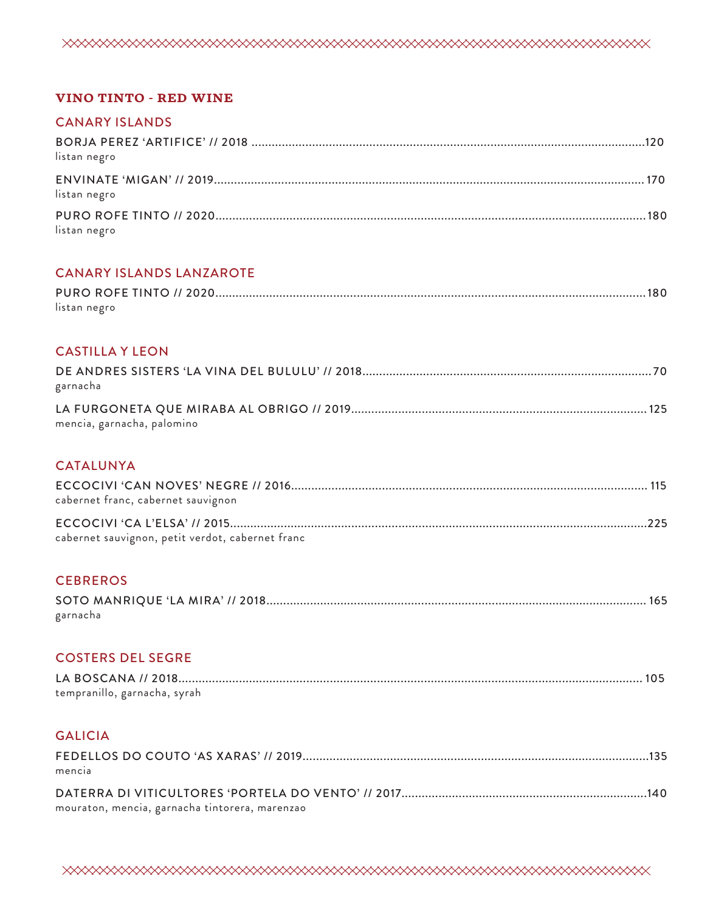

#### **VINO TINTO - RED WINE**

#### CANARY ISLANDS

| listan negro |  |
|--------------|--|
| listan negro |  |
| listan negro |  |

## CANARY ISLANDS LANZAROTE

| listan negro |  |
|--------------|--|

### CASTILLA Y LEON

| garnacha                   |  |
|----------------------------|--|
|                            |  |
| mencia, garnacha, palomino |  |

## CATALUNYA

| cabernet franc, cabernet sauvignon               |  |
|--------------------------------------------------|--|
| cabernet sauvignon, petit verdot, cabernet franc |  |

## **CEBREROS**

| garnacha |  |
|----------|--|

## COSTERS DEL SEGRE

| tempranillo, garnacha, syrah |
|------------------------------|

## GALICIA

| mencia                                         |  |
|------------------------------------------------|--|
|                                                |  |
| mouraton, mencia, garnacha tintorera, marenzao |  |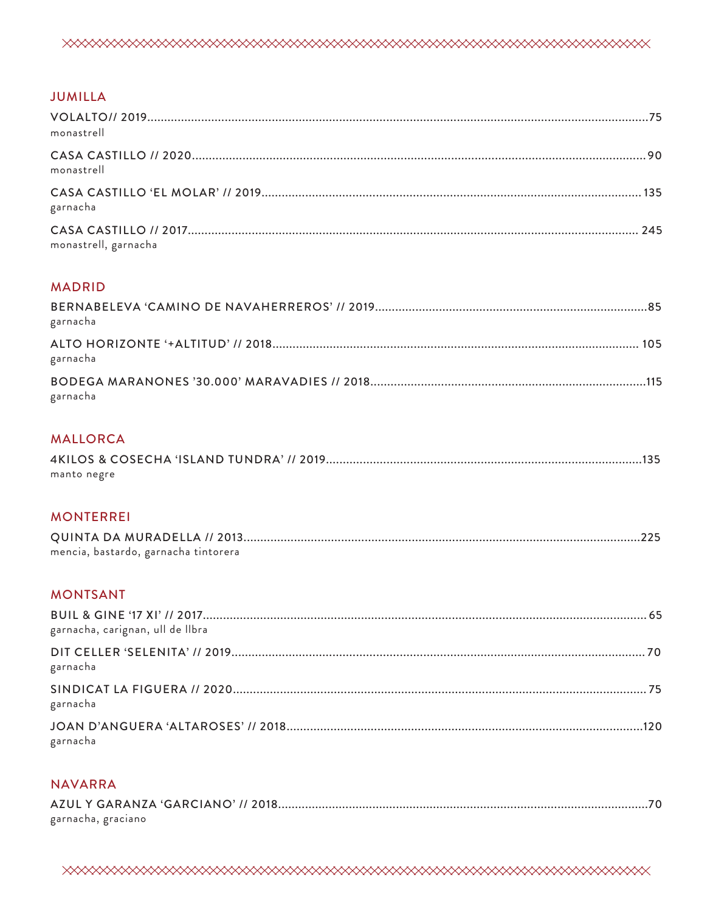|--|

## **JUMILLA**

| monastrell           |  |
|----------------------|--|
| monastrell           |  |
| garnacha             |  |
| monastrell, garnacha |  |

## **MADRID**

| garnacha |  |
|----------|--|
| garnacha |  |
| garnacha |  |

## **MALLORCA**

| manto negre |  |
|-------------|--|

## **MONTERREI**

| mencia, bastardo, garnacha tintorera |  |
|--------------------------------------|--|

## **MONTSANT**

| garnacha, carignan, ull de Ilbra |  |
|----------------------------------|--|
| garnacha                         |  |
| garnacha                         |  |
| garnacha                         |  |

#### **NAVARRA**

| garnacha, graciano |  |
|--------------------|--|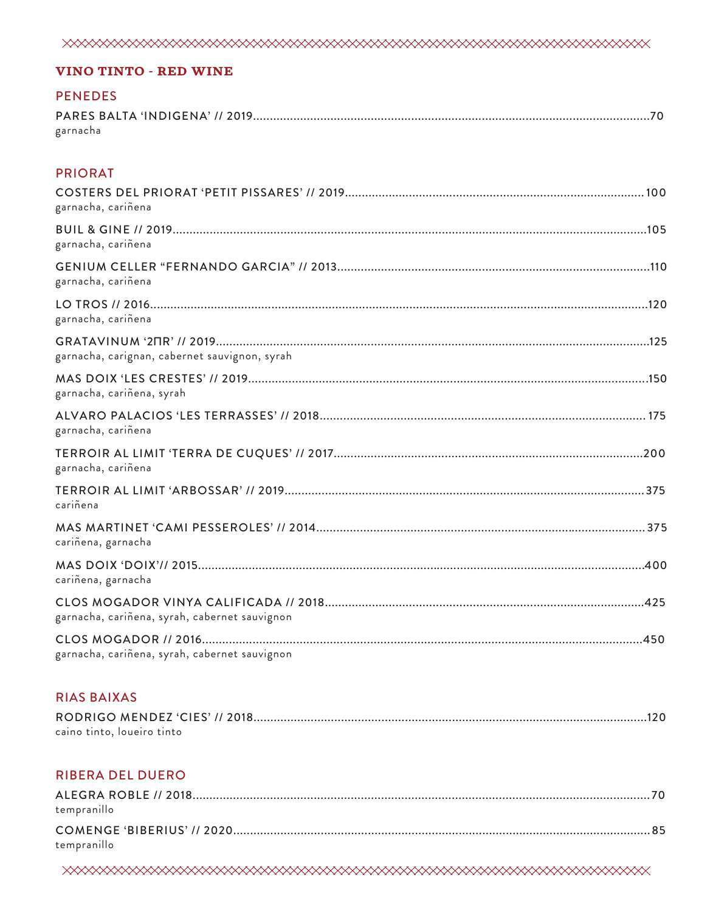#### **VINO TINTO - RED WINE**

#### **PENEDES**

| garnacha |  |
|----------|--|

#### **PRIORAT**

| garnacha, cariñena                            |  |
|-----------------------------------------------|--|
| garnacha, cariñena                            |  |
| garnacha, cariñena                            |  |
| garnacha, cariñena                            |  |
| garnacha, carignan, cabernet sauvignon, syrah |  |
| garnacha, cariñena, syrah                     |  |
| garnacha, cariñena                            |  |
| garnacha, cariñena                            |  |
| cariñena                                      |  |
| cariñena, garnacha                            |  |
| cariñena, garnacha                            |  |
| garnacha, cariñena, syrah, cabernet sauvignon |  |
| garnacha, cariñena, syrah, cabernet sauvignon |  |

## **RIAS BAIXAS**

| caino tinto, loueiro tinto |  |
|----------------------------|--|

#### **RIBERA DEL DUERO**

| tempranillo |  |
|-------------|--|
| tempranillo |  |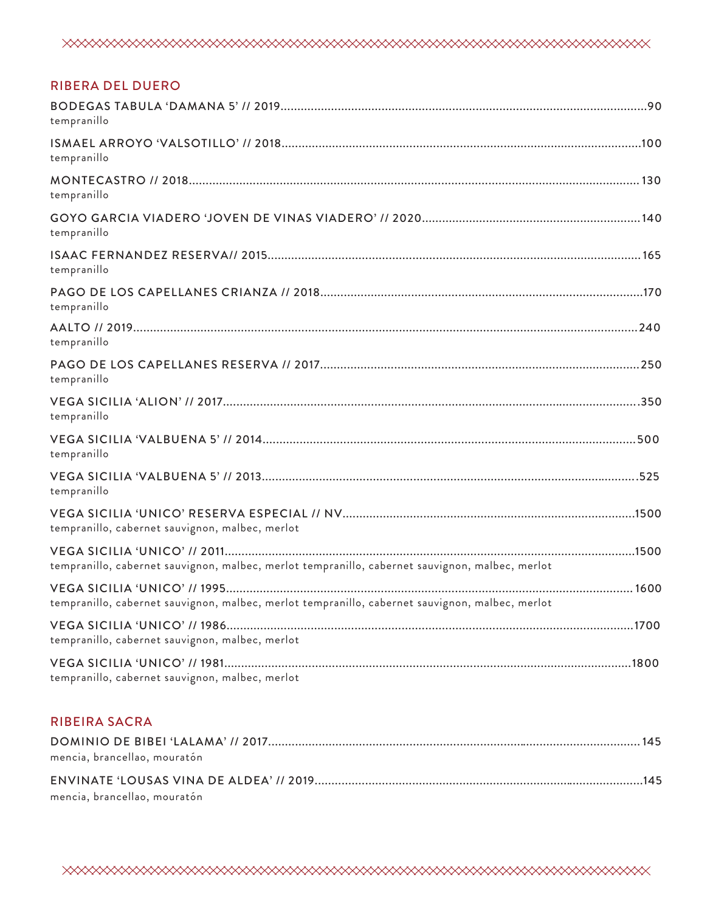| <b>RIBERA DEL DUERO</b>                                                                         |  |
|-------------------------------------------------------------------------------------------------|--|
| tempranillo                                                                                     |  |
| tempranillo                                                                                     |  |
| tempranillo                                                                                     |  |
| tempranillo                                                                                     |  |
| tempranillo                                                                                     |  |
| tempranillo                                                                                     |  |
| tempranillo                                                                                     |  |
| tempranillo                                                                                     |  |
| tempranillo                                                                                     |  |
| tempranillo                                                                                     |  |
| tempranillo                                                                                     |  |
| tempranillo, cabernet sauvignon, malbec, merlot                                                 |  |
| tempranillo, cabernet sauvignon, malbec, merlot tempranillo, cabernet sauvignon, malbec, merlot |  |
| tempranillo, cabernet sauvignon, malbec, merlot tempranillo, cabernet sauvignon, malbec, merlot |  |
| tempranillo, cabernet sauvignon, malbec, merlot                                                 |  |
| tempranillo, cabernet sauvignon, malbec, merlot                                                 |  |
|                                                                                                 |  |

# RIBEIRA SACRA

| mencia, brancellao, mouratón |  |
|------------------------------|--|
|                              |  |
| mencia, brancellao, mouratón |  |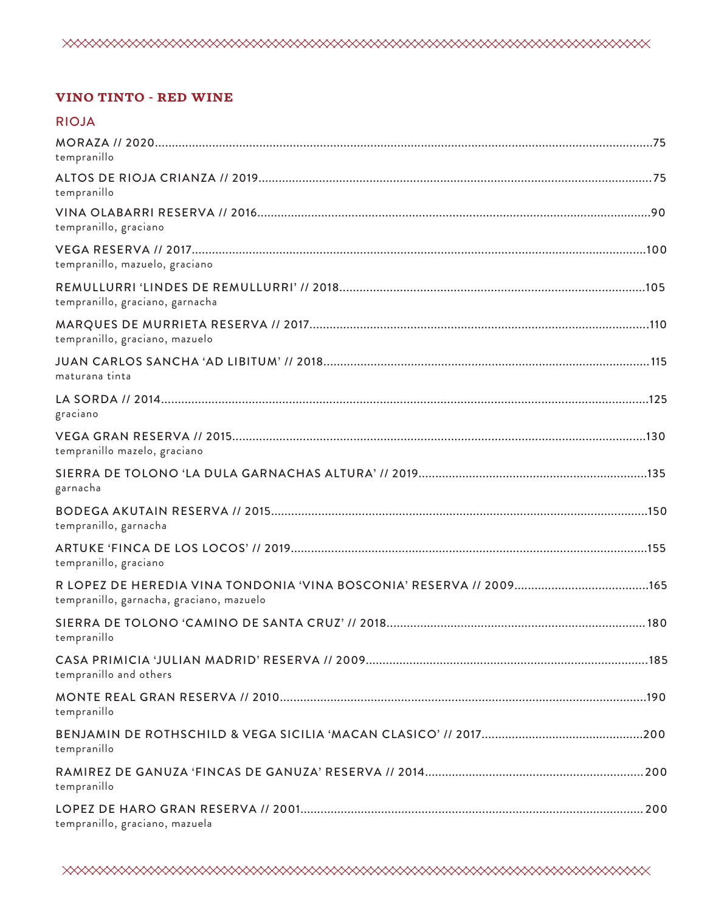

## **VINO TINTO - RED WINE**

## RIOJA

| tempranillo                              |  |
|------------------------------------------|--|
| tempranillo                              |  |
| tempranillo, graciano                    |  |
| tempranillo, mazuelo, graciano           |  |
| tempranillo, graciano, garnacha          |  |
| tempranillo, graciano, mazuelo           |  |
| maturana tinta                           |  |
| graciano                                 |  |
| tempranillo mazelo, graciano             |  |
| garnacha                                 |  |
| tempranillo, garnacha                    |  |
| tempranillo, graciano                    |  |
| tempranillo, garnacha, graciano, mazuelo |  |
| tempranillo                              |  |
| tempranillo and others                   |  |
| tempranillo                              |  |
| tempranillo                              |  |
| tempranillo                              |  |
| tempranillo, graciano, mazuela           |  |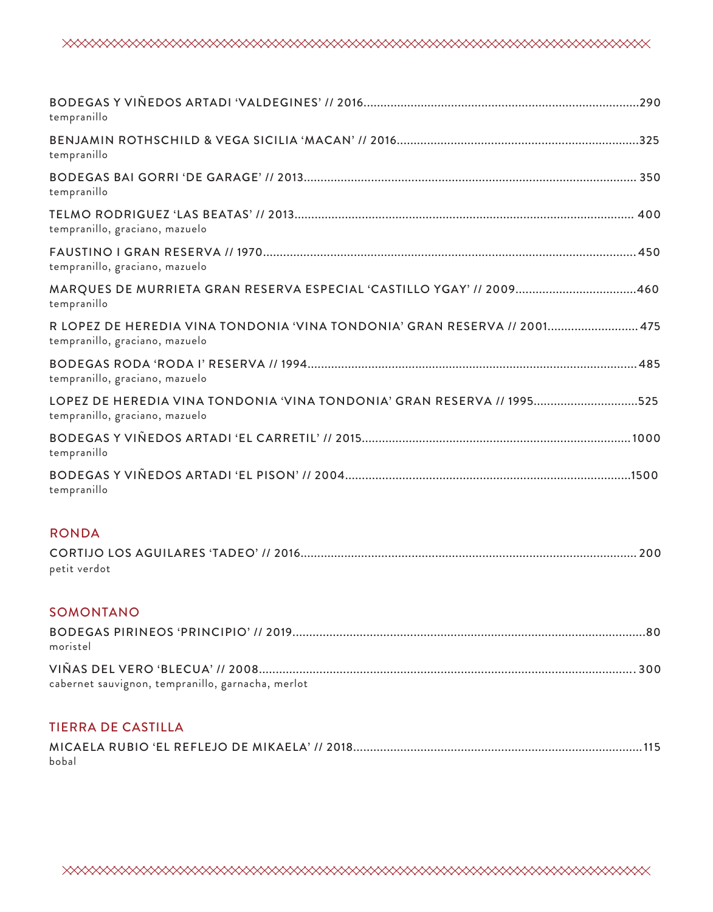| tempranillo                                                                                                 |
|-------------------------------------------------------------------------------------------------------------|
| tempranillo                                                                                                 |
| tempranillo                                                                                                 |
| tempranillo, graciano, mazuelo                                                                              |
| tempranillo, graciano, mazuelo                                                                              |
| MARQUES DE MURRIETA GRAN RESERVA ESPECIAL 'CASTILLO YGAY' // 2009460<br>tempranillo                         |
| R LOPEZ DE HEREDIA VINA TONDONIA 'VINA TONDONIA' GRAN RESERVA // 2001 475<br>tempranillo, graciano, mazuelo |
| tempranillo, graciano, mazuelo                                                                              |
| LOPEZ DE HEREDIA VINA TONDONIA 'VINA TONDONIA' GRAN RESERVA // 1995525<br>tempranillo, graciano, mazuelo    |
| tempranillo                                                                                                 |
| tempranillo                                                                                                 |

## RONDA

| petit verdot |  |
|--------------|--|

## SOMONTANO

| moristel                                          |  |
|---------------------------------------------------|--|
| cabernet sauvignon, tempranillo, garnacha, merlot |  |

# TIERRA DE CASTILLA

| bobal |  |  |  |
|-------|--|--|--|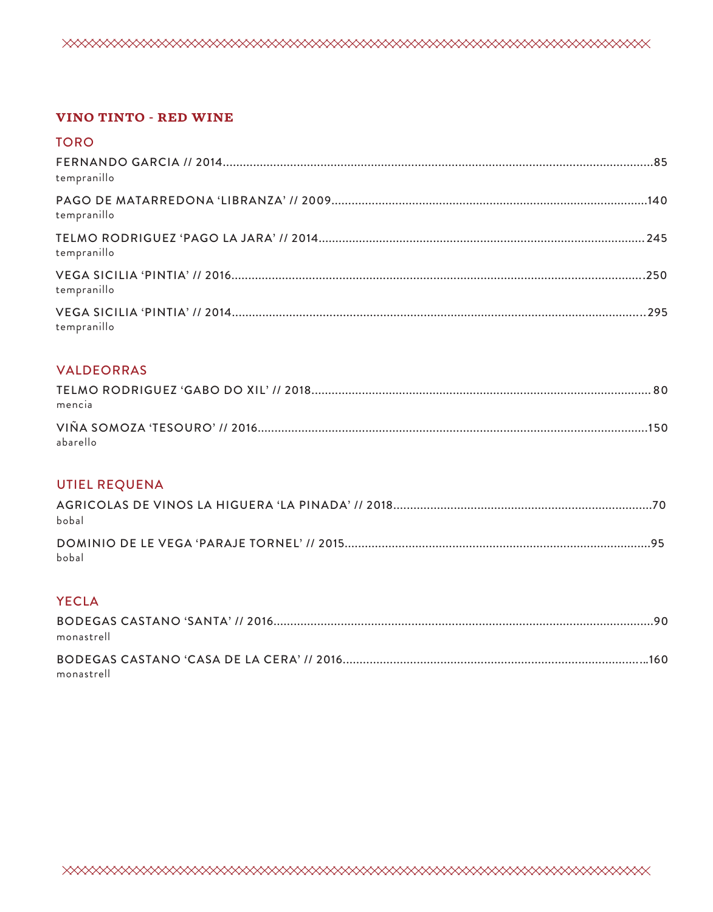#### **VINO TINTO - RED WINE**

| <b>TORO</b> |  |
|-------------|--|
| tempranillo |  |
| tempranillo |  |
| tempranillo |  |
| tempranillo |  |
| tempranillo |  |

## **VALDEORRAS**

| mencia   |  |
|----------|--|
|          |  |
| abarello |  |

## **UTIEL REQUENA**

| bobal |  |
|-------|--|
| bobal |  |

# **YECLA**

| monastrell |  |
|------------|--|
|            |  |
| monastrell |  |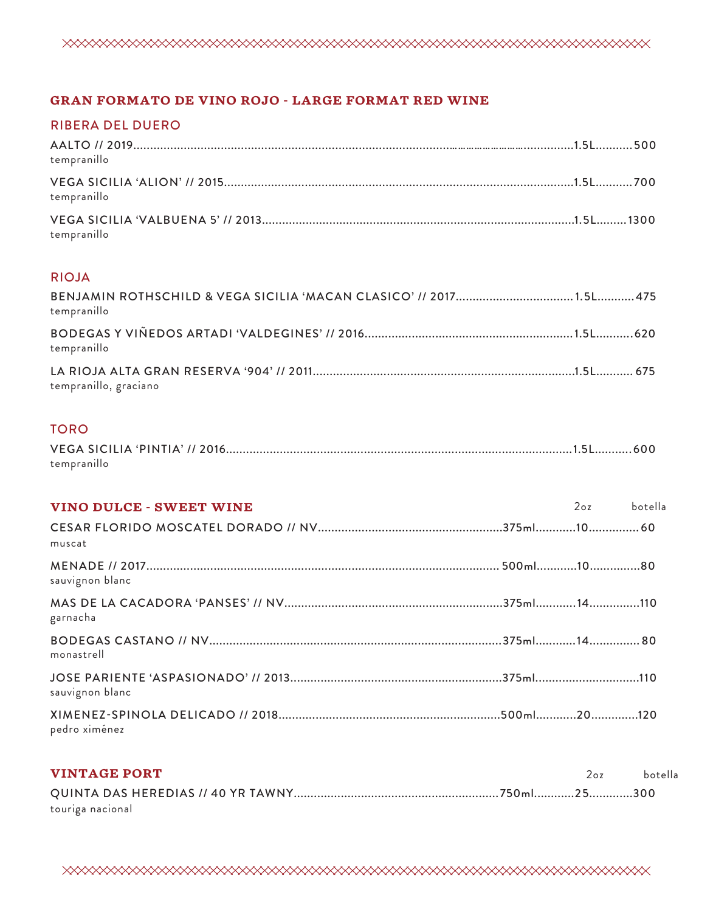

## **GRAN FORMATO DE VINO ROJO - LARGE FORMAT RED WINE**

## RIBERA DEL DUERO

| tempranillo |  |
|-------------|--|
| tempranillo |  |
| tempranillo |  |

#### RIOJA

| tempranillo           |  |
|-----------------------|--|
| tempranillo           |  |
| tempranillo, graciano |  |

## TORO

| tempranillo |  |
|-------------|--|

| <b>VINO DULCE - SWEET WINE</b> | 2oz botella |  |
|--------------------------------|-------------|--|
| muscat                         |             |  |
| sauvignon blanc                |             |  |
| garnacha                       |             |  |
| monastrell                     |             |  |
| sauvignon blanc                |             |  |
| pedro ximénez                  |             |  |

| <b>VINTAGE PORT</b> | 207 | botella |
|---------------------|-----|---------|
|                     |     |         |
| touriga nacional    |     |         |